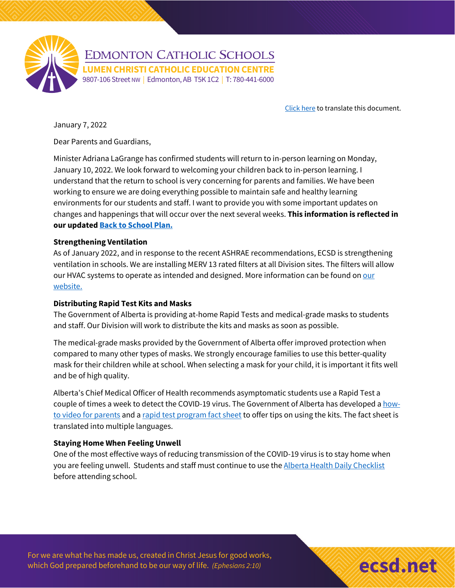

[Click here](https://www.ecsd.net/page/39448/letter-to-families-return-to-in-person-learning) to translate this document.

January 7, 2022

Dear Parents and Guardians,

Minister Adriana LaGrange has confirmed students will return to in-person learning on Monday, January 10, 2022. We look forward to welcoming your children back to in-person learning. I understand that the return to school is very concerning for parents and families. We have been working to ensure we are doing everything possible to maintain safe and healthy learning environments for our students and staff. I want to provide you with some important updates on changes and happenings that will occur over the next several weeks. **This information is reflected in our updated [Back to School Plan.](https://www.ecsd.net/page/7013/back-to-school-plan-for-the-2021-2022-school-year)**

#### **Strengthening Ventilation**

As of January 2022, and in response to the recent ASHRAE recommendations[, ECSD](https://twitter.com/hashtag/ECSD?src=hashtag_click) is strengthening ventilation in schools. We are installing MERV 13 rated filters at all Division sites. The filters will allow our HVAC systems to operate as intended and designed. More information can be found on our [website.](https://www.ecsd.net/_ci/p/39411)

### **Distributing Rapid Test Kits and Masks**

The Government of Alberta is providing at-home Rapid Tests and medical-grade masks to students and staff. Our Division will work to distribute the kits and masks as soon as possible.

The medical-grade masks provided by the Government of Alberta offer improved protection when compared to many other types of masks. We strongly encourage families to use this better-quality mask for their children while at school. When selecting a mask for your child, it is important it fits well and be of high quality.

Alberta's Chief Medical Officer of Health recommends asymptomatic students use a Rapid Test a couple of times a week to detect the COVID-19 virus. The Government of Alberta has developed a [how](https://www.youtube.com/watch?v=h4q7EuAbgE8)[to video for parents](https://www.youtube.com/watch?v=h4q7EuAbgE8) and a [rapid test program fact sheet](https://open.alberta.ca/publications/k-6-at-home-rapid-testing-program) to offer tips on using the kits. The fact sheet is translated into multiple languages.

### **Staying Home When Feeling Unwell**

One of the most effective ways of reducing transmission of the COVID-19 virus is to stay home when you are feeling unwell. Students and staff must continue to use the [Alberta Health Daily Checklist](https://open.alberta.ca/publications/covid-19-information-alberta-health-daily-checklist) before attending school.

For we are what he has made us, created in Christ Jesus for good works, which God prepared beforehand to be our way of life. *(Ephesians 2:10)* **example 200 Monthly and the contract of the contract of the contract of the contract of the contract of the contract of the contract of the contract**